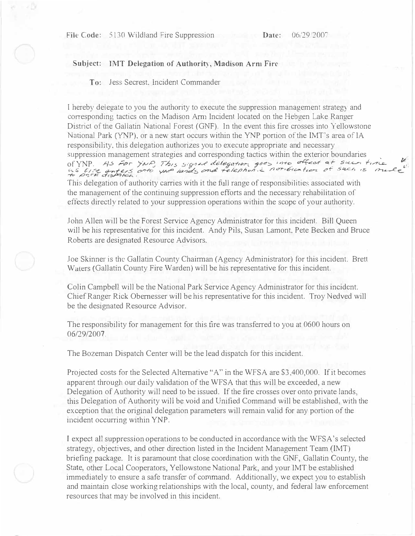l.'

## **Subject: IMT Delegation of Authorit<sup>y</sup> , Madison Arm Fire**

**To:** Jess Secrest. Incident Commander

I hereby delegate to you the authority to execute the suppression management strategy and corresponding tactics on the Madison Am1 Incident located on the Hebgen Lake Ranger District of the Gallatin National Forest (GNF). In the event this fire crosses into Yellowstone National Park (YNP), or a new start occurs within the YNP portion of the IMT's area of IA responsibility, this delegation authorizes you to execute appropriate and necessary suppression management strategies and corresponding tactics within the exterior boundaries of YNP. As For YNP, This signed delegation goes into affect at secondume the us fire anters anto your lands and telephonic notification at such is make

This delegation of authority carries with it the full range of responsibilities associated with the management of the continuing suppression efforts and the necessary rehabilitation of effects directly related to your suppression operations within the scope of your authority.

John Allen will be the Forest Service Agency Administrator for this incident. Bill Queen will be his representative for this incident. Andy Pils, Susan Lamont, Pete Becken and Bruce Roberts are designated Resource Advisors.

Joe Skinner is the Gallatin County Chairman (Agency Administrator) for this incident. Brett Walers (Gallatin County Fire Warden) will be his representative for this incident.

Colin Campbell will be the National Park Service Agency Administrator for this incident. Chief Ranger Rick Obemesser will be his representative for this incident. Troy Nedved will be the designated Resource Advisor.

The responsibility for management for this fire was transferred to you at 0600 hours on 06/29/2007.

The Bozeman Dispatch Center will be the lead dispatch for this incident.

Projected costs for the Selected Alternative "A" in the WFSA are \$3,400,000. If it becomes apparent through our daily validation of the WFSA that *this* will be exceeded, a new Delegation of Authority will need to be issued. If the fire crosses over onto private lands, this Delegation of Authority will be void and Unified Command will be established, with the exception that the original delegation parameters will remain valid for any portion of the incident occurring within YNP.

I expect all suppression operations to be conducted in accordance with the WFSA 's selected strategy, objectives, and other direction listed in the Incident Management Team (IMT) briefing package. It is paramount that close coordination with the GNF, Gallatin County, the State, other Local Cooperators, Yellowstone National Park, and your IMT be established immediately to ensure a safe transfer of command. Additionally, we expect you to establish and maintain close working relationships with the local, county, and federal law enforcement resources that may be involved in this incident.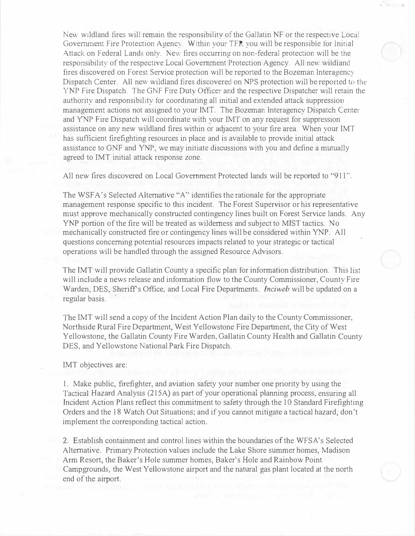. New wildland fires will remain the responsibility of the Gallatin NF or the respective Local Government Fire Protection Agency. Within your TFR you will be responsible for Initial Attack on Federal Lands only. New fires occurring on non-federal protection will be the responsibility of the respective Local Government Protection Agency. All new wildland fires discovered on Forest Service protection will be reported to the Bozeman lnteragency Dispatch Center. All new wildland fires discovered on NPS protection will be reponed to the YNP Fire Dispatch. The GNF Fire Duty Officer and the respective Dispatcher will retain the authority and responsibility for coordinating all initial and extended attack suppression management actions not assigned to your IMT. The Bozeman lnteragency Dispatch Center and YNP Fire Dispatch will coordinate with your IMT on any request for suppression assistance on any new wildland fires within or adjacent to your fire area. When your IMT has sufficient firefighting resources in place and is available to provide initial attack assistance to GNF and YNP, we may initiate discussions with you and define a mutually agreed to IMT initial attack response zone.

All new fires discovered on Local Government Protected lands will be reported to "911".

The WSFA 's Selected Alternative "A" identifies the rationale for the appropriate management response specific to this incident. The Forest Supervisor or his representative must approve mechanically constructed contingency lines built on Forest Service lands. Any YNP portion of the fire will be treated as wilderness and subject to MIST tactics. No mechanically constructed fire or contingency lines will be considered within YNP. All questions concerning potential resources impacts related to your strategic or tactical operations will be handled through the assigned Resource Advisors.

The IMT will provide Gallatin County a specific plan for information distribution. This list will include a news release and information flow to the County Commissioner, County Fire Warden, DES, Sheriffs Office, and Local Fire Departments. *Inciweb* will be updated on a regular basis.

The IMT will send a copy of the Incident Action Plan daily to the County Commissioner, Northside Rural Fire Department, West Yellowstone Fire Department, the City of West Yellowstone, the Gallatin County Fire Warden, Gallatin County Health and Gallatin County DES, and Yellowstone National Park Fire Dispatch.

IMT objectives are:

1. Make public, firefighter, and aviation safety your number one priority by using the Tactical Hazard Analysis (215A) as part of your operational planning process, ensuring all Incident Action Plans reflect this commitment to safety through the 10 Standard Firefighting Orders and the 18 Watch Out Situations; and if you cannot mitigate a tactical hazard, don't implement the corresponding tactical action.

2. Establish containment and control lines within the boundaries of the WFSA's Selected Alternative. Primary Protection values include the Lake Shore summer homes, Madison Arm Resort, the Baker's Hole summer homes, Baker's Hole and Rainbow Point Campgrounds, the West Yellowstone airport and the natural gas plant located at the north end of the airport.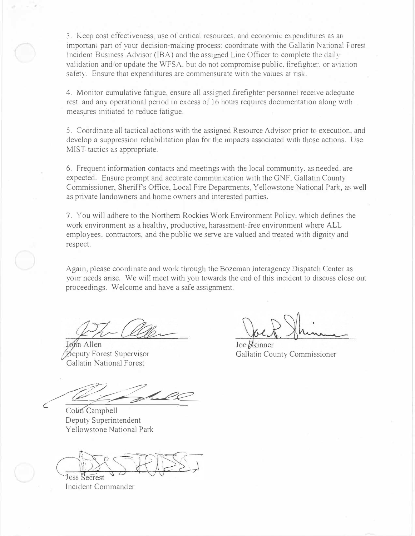3. Keep cost effectiveness. use of critical resources. and economic expenditures as an important part of your decision-making process: coordinate with the Gallatin National Forest Incident Business Advisor (IBA) and the assigned Line Officer to complete the daily validation and/or update the WFSA, but do not compromise public, firefighter, or aviation safety. Ensure that expenditures are commensurate with the values at risk.

4. Monitor cumulative fatigue. ensure all assigned .firefighter personnel receive adequate rest. and any operational period in excess of 16 hours requires documentation along with measures initiated to reduce fatigue.

5. Coordinate all tactical actions with the assigned Resource Advisor prior to execution. and develop a suppression rehabilitation plan for the impacts associated with those actions. Use MIST tactics as appropriate.

6. Frequent information contacts and meetings with the local community. as needed. are expected. Ensure prompt and accurate communication with the GNF, Gallatin County Commissioner, Sheriffs Office, Local Fire Departments, Yellowstone National Park, as well as private landowners and home owners and interested parties.

7. You will adhere to the Northern Rockies Work Environment Policy, which defines the work environment as a healthy, productive, harassment-free environment where ALL employees, contractors, and the public we serve are valued and treated with dignity and respect.

Again, please coordinate and work through the Bozeman lnteragency Dispatch Center as your needs arise. We will meet with you towards the end of this incident to discuss close out proceedings. Welcome and have a safe assignment.

Mn Allen Beputy Forest Supervisor Gallatin National Forest

Et shell

Colin Campbell Deputy Superintendent Yellowstone National Park

 $\mathcal{N}_\text{r}$ jess

Incident Commander

Joe *Skinner* Gallatin County Commissioner